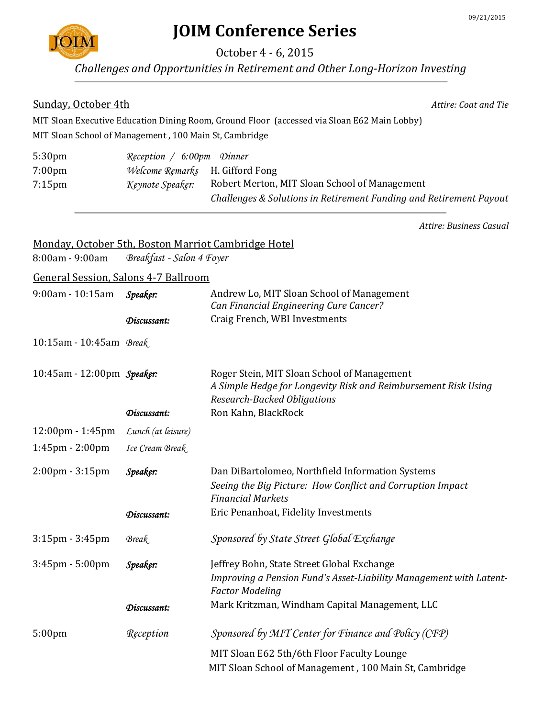

# **JOIM Conference Series**

October 4 - 6, 2015

*Challenges and Opportunities in Retirement and Other Long-Horizon Investing*

#### **Sunday, October 4th Attire: Coat and Tie**

MIT Sloan Executive Education Dining Room, Ground Floor (accessed via Sloan E62 Main Lobby) MIT Sloan School of Management , 100 Main St, Cambridge

| 5:30 <sub>pm</sub> | Reception / 6:00pm Dinner              |                                                                    |
|--------------------|----------------------------------------|--------------------------------------------------------------------|
| $7:00 \text{pm}$   | <i>Welcome Remarks</i> H. Gifford Fong |                                                                    |
| $7:15$ pm          | Keynote Speaker:                       | Robert Merton, MIT Sloan School of Management                      |
|                    |                                        | Challenges & Solutions in Retirement Funding and Retirement Payout |

*Attire: Business Casual*

#### Monday, October 5th, Boston Marriot Cambridge Hotel

8:00am - 9:00am *Breakfast - Salon 4 Foyer*

General Session, Salons 4-7 Ballroom

| 9:00am - 10:15am                  | Speaker:           | Andrew Lo, MIT Sloan School of Management<br>Can Financial Engineering Cure Cancer?                                                                 |
|-----------------------------------|--------------------|-----------------------------------------------------------------------------------------------------------------------------------------------------|
|                                   | Discussant:        | Craig French, WBI Investments                                                                                                                       |
| 10:15am - 10:45am Break           |                    |                                                                                                                                                     |
| 10:45am - 12:00pm Speaker:        |                    | Roger Stein, MIT Sloan School of Management<br>A Simple Hedge for Longevity Risk and Reimbursement Risk Using<br><b>Research-Backed Obligations</b> |
|                                   | Discussant:        | Ron Kahn, BlackRock                                                                                                                                 |
| 12:00pm - 1:45pm                  | Lunch (at leisure) |                                                                                                                                                     |
| 1:45pm - 2:00pm                   | Ice Cream Break    |                                                                                                                                                     |
| $2:00 \text{pm} - 3:15 \text{pm}$ | Speaker:           | Dan DiBartolomeo, Northfield Information Systems<br>Seeing the Big Picture: How Conflict and Corruption Impact<br><b>Financial Markets</b>          |
|                                   | Discussant:        | Eric Penanhoat, Fidelity Investments                                                                                                                |
| $3:15$ pm - $3:45$ pm             | Break              | Sponsored by State Street Global Exchange                                                                                                           |
| 3:45pm - 5:00pm                   | Speaker:           | Jeffrey Bohn, State Street Global Exchange                                                                                                          |
|                                   |                    | Improving a Pension Fund's Asset-Liability Management with Latent-<br><b>Factor Modeling</b>                                                        |
|                                   | Discussant:        | Mark Kritzman, Windham Capital Management, LLC                                                                                                      |
| 5:00 <sub>pm</sub>                | Reception          | Sponsored by MIT Center for Finance and Policy (CFP)                                                                                                |
|                                   |                    | MIT Sloan E62 5th/6th Floor Faculty Lounge<br>MIT Sloan School of Management, 100 Main St, Cambridge                                                |